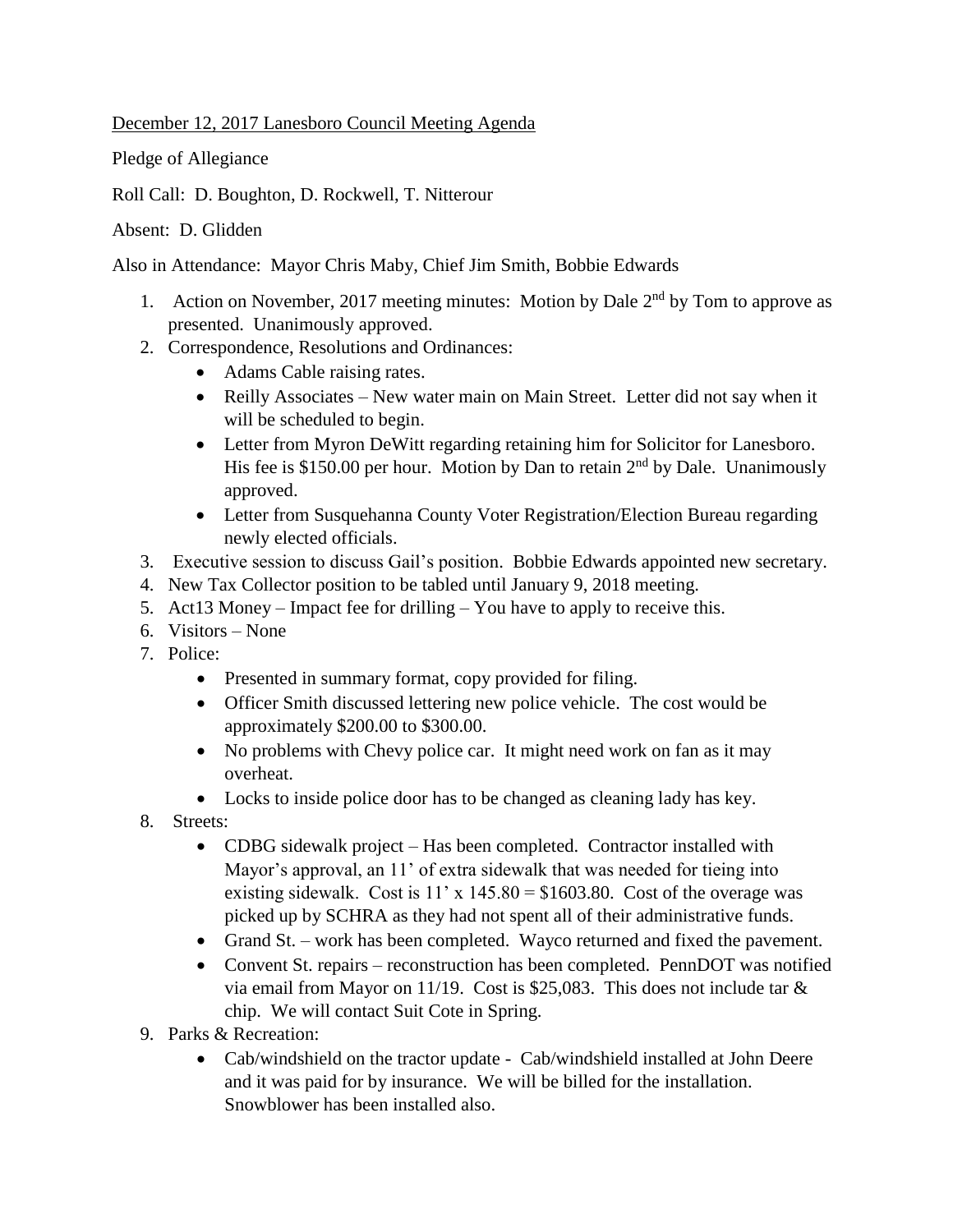December 12, 2017 Lanesboro Council Meeting Agenda

Pledge of Allegiance

Roll Call: D. Boughton, D. Rockwell, T. Nitterour

Absent: D. Glidden

Also in Attendance: Mayor Chris Maby, Chief Jim Smith, Bobbie Edwards

- 1. Action on November, 2017 meeting minutes: Motion by Dale  $2<sup>nd</sup>$  by Tom to approve as presented. Unanimously approved.
- 2. Correspondence, Resolutions and Ordinances:
	- Adams Cable raising rates.
	- Reilly Associates New water main on Main Street. Letter did not say when it will be scheduled to begin.
	- Letter from Myron DeWitt regarding retaining him for Solicitor for Lanesboro. His fee is \$150.00 per hour. Motion by Dan to retain  $2<sup>nd</sup>$  by Dale. Unanimously approved.
	- Letter from Susquehanna County Voter Registration/Election Bureau regarding newly elected officials.
- 3. Executive session to discuss Gail's position. Bobbie Edwards appointed new secretary.
- 4. New Tax Collector position to be tabled until January 9, 2018 meeting.
- 5. Act13 Money Impact fee for drilling You have to apply to receive this.
- 6. Visitors None
- 7. Police:
	- Presented in summary format, copy provided for filing.
	- Officer Smith discussed lettering new police vehicle. The cost would be approximately \$200.00 to \$300.00.
	- No problems with Chevy police car. It might need work on fan as it may overheat.
	- Locks to inside police door has to be changed as cleaning lady has key.
- 8. Streets:
	- CDBG sidewalk project Has been completed. Contractor installed with Mayor's approval, an 11' of extra sidewalk that was needed for tieing into existing sidewalk. Cost is  $11' \times 145.80 = $1603.80$ . Cost of the overage was picked up by SCHRA as they had not spent all of their administrative funds.
	- Grand St. work has been completed. Wayco returned and fixed the pavement.
	- Convent St. repairs reconstruction has been completed. PennDOT was notified via email from Mayor on 11/19. Cost is \$25,083. This does not include tar & chip. We will contact Suit Cote in Spring.
- 9. Parks & Recreation:
	- Cab/windshield on the tractor update Cab/windshield installed at John Deere and it was paid for by insurance. We will be billed for the installation. Snowblower has been installed also.